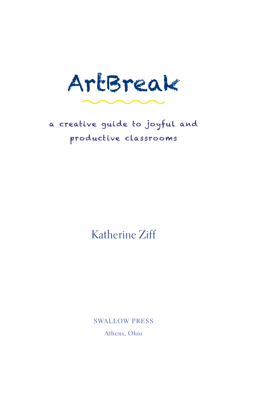ArtBreak

# a creative guide to joyful and productive classrooms

# Katherine Ziff

**SWALLOW PRESS** Athens, Ohio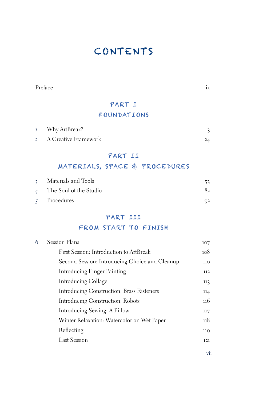# Contents

Preface ix

# Part I

## FOUNDATIONS

| $\mathbf{1}$ | Why ArtBreak?          |  |
|--------------|------------------------|--|
|              | 2 A Creative Framework |  |

#### Part II

## Materials, Space & Procedures

| 3 Materials and Tools    |    |
|--------------------------|----|
| 4 The Soul of the Studio | 82 |
| $\varsigma$ Procedures   | Q2 |

## Part III

## FROM START TO FINISH

| 6 | <b>Session Plans</b>                             | 107 |
|---|--------------------------------------------------|-----|
|   | First Session: Introduction to ArtBreak          | 108 |
|   | Second Session: Introducing Choice and Cleanup   | 110 |
|   | Introducing Finger Painting                      | 112 |
|   | Introducing Collage                              | 113 |
|   | <b>Introducing Construction: Brass Fasteners</b> | 114 |
|   | Introducing Construction: Robots                 | 116 |
|   | Introducing Sewing: A Pillow                     | 117 |
|   | Winter Relaxation: Watercolor on Wet Paper       | 118 |
|   | Reflecting                                       | 119 |
|   | Last Session                                     | 121 |
|   |                                                  |     |

vii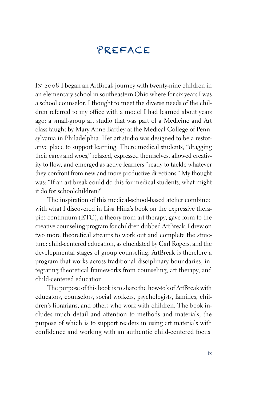# Preface

In 2008 I began an ArtBreak journey with twenty-nine children in an elementary school in southeastern Ohio where for six years I was a school counselor. I thought to meet the diverse needs of the children referred to my office with a model I had learned about years ago: a small-group art studio that was part of a Medicine and Art class taught by Mary Anne Bartley at the Medical College of Pennsylvania in Philadelphia. Her art studio was designed to be a restorative place to support learning. There medical students, "dragging their cares and woes," relaxed, expressed themselves, allowed creativity to flow, and emerged as active learners "ready to tackle whatever they confront from new and more productive directions." My thought was: "If an art break could do this for medical students, what might it do for schoolchildren?"

The inspiration of this medical-school-based atelier combined with what I discovered in Lisa Hinz's book on the expressive therapies continuum (ETC), a theory from art therapy, gave form to the creative counseling program for children dubbed ArtBreak. I drew on two more theoretical streams to work out and complete the structure: child-centered education, as elucidated by Carl Rogers, and the developmental stages of group counseling. ArtBreak is therefore a program that works across traditional disciplinary boundaries, integrating theoretical frameworks from counseling, art therapy, and child-centered education.

The purpose of this book is to share the how-to's of ArtBreak with educators, counselors, social workers, psychologists, families, children's librarians, and others who work with children. The book includes much detail and attention to methods and materials, the purpose of which is to support readers in using art materials with confidence and working with an authentic child-centered focus.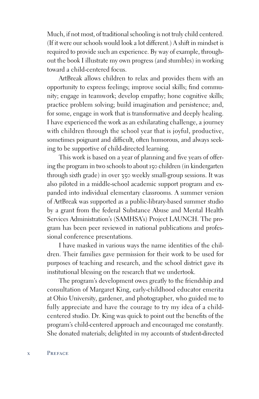Much, if not most, of traditional schooling is not truly child centered. (If it were our schools would look a lot different.) A shift in mindset is required to provide such an experience. By way of example, throughout the book I illustrate my own progress (and stumbles) in working toward a child-centered focus.

ArtBreak allows children to relax and provides them with an opportunity to express feelings; improve social skills; find community; engage in teamwork; develop empathy; hone cognitive skills; practice problem solving; build imagination and persistence; and, for some, engage in work that is transformative and deeply healing. I have experienced the work as an exhilarating challenge, a journey with children through the school year that is joyful, productive, sometimes poignant and difficult, often humorous, and always seeking to be supportive of child-directed learning.

This work is based on a year of planning and five years of offering the program in two schools to about 150 children (in kindergarten through sixth grade) in over 350 weekly small-group sessions. It was also piloted in a middle-school academic support program and expanded into individual elementary classrooms. A summer version of ArtBreak was supported as a public-library-based summer studio by a grant from the federal Substance Abuse and Mental Health Services Administration's (SAMHSA's) Project LAUNCH. The program has been peer reviewed in national publications and professional conference presentations.

I have masked in various ways the name identities of the children. Their families gave permission for their work to be used for purposes of teaching and research, and the school district gave its institutional blessing on the research that we undertook.

The program's development owes greatly to the friendship and consultation of Margaret King, early-childhood educator emerita at Ohio University, gardener, and photographer, who guided me to fully appreciate and have the courage to try my idea of a childcentered studio. Dr. King was quick to point out the benefits of the program's child-centered approach and encouraged me constantly. She donated materials; delighted in my accounts of student-directed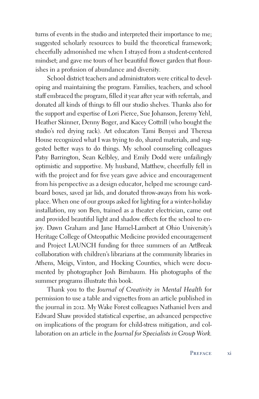turns of events in the studio and interpreted their importance to me; suggested scholarly resources to build the theoretical framework; cheerfully admonished me when I strayed from a student-centered mindset; and gave me tours of her beautiful flower garden that flourishes in a profusion of abundance and diversity.

School district teachers and administrators were critical to developing and maintaining the program. Families, teachers, and school staff embraced the program, filled it year after year with referrals, and donated all kinds of things to fill our studio shelves. Thanks also for the support and expertise of Lori Pierce, Sue Johanson, Jeremy Yehl, Heather Skinner, Denny Boger, and Kacey Cottrill (who bought the studio's red drying rack). Art educators Tami Benyei and Theresa House recognized what I was trying to do, shared materials, and suggested better ways to do things. My school counseling colleagues Patsy Barrington, Sean Kelbley, and Emily Dodd were unfailingly optimistic and supportive. My husband, Matthew, cheerfully fell in with the project and for five years gave advice and encouragement from his perspective as a design educator, helped me scrounge cardboard boxes, saved jar lids, and donated throw-aways from his workplace. When one of our groups asked for lighting for a winter-holiday installation, my son Ben, trained as a theater electrician, came out and provided beautiful light and shadow effects for the school to enjoy. Dawn Graham and Jane Hamel-Lambert at Ohio University's Heritage College of Osteopathic Medicine provided encouragement and Project LAUNCH funding for three summers of an ArtBreak collaboration with children's librarians at the community libraries in Athens, Meigs, Vinton, and Hocking Counties, which were documented by photographer Josh Birnbaum. His photographs of the summer programs illustrate this book.

Thank you to the *Journal of Creativity in Mental Health* for permission to use a table and vignettes from an article published in the journal in 2012. My Wake Forest colleagues Nathaniel Ivers and Edward Shaw provided statistical expertise, an advanced perspective on implications of the program for child-stress mitigation, and collaboration on an article in the *Journal for Specialists in Group Work.*